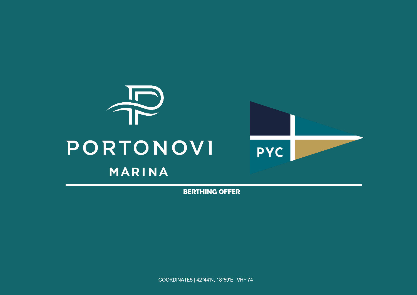

BERTHING OFFER

COORDINATES | 42°44'N, 18°59'E VHF 74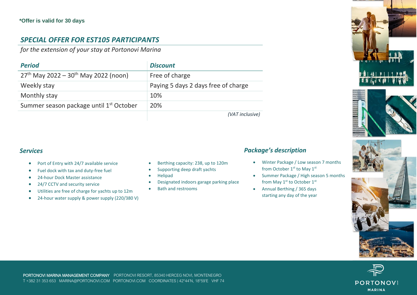## *SPECIAL OFFER FOR EST105 PARTICIPANTS*

*for the extension of your stay at Portonovi Marina*

| <b>Period</b>                                       | <b>Discount</b>                     |
|-----------------------------------------------------|-------------------------------------|
| $27th$ May 2022 – $30th$ May 2022 (noon)            | Free of charge                      |
| Weekly stay                                         | Paying 5 days 2 days free of charge |
| Monthly stay                                        | 10%                                 |
| Summer season package until 1 <sup>st</sup> October | 20%                                 |
|                                                     | (VAT inclusiva)                     |

*(VAT inclusive)*

## *Services*

- Port of Entry with 24/7 available service
- Fuel dock with tax and duty-free fuel
- 24-hour Dock Master assistance
- 24/7 CCTV and security service
- Utilities are free of charge for yachts up to 12m
- 24-hour water supply & power supply (220/380 V)
- Berthing capacity: 238, up to 120m
- Supporting deep draft yachts
- Helipad
- Designated indoors garage parking place
- Bath and restrooms

## *Package's description*

- Winter Package / Low season 7 months from October 1<sup>st</sup> to May 1<sup>st</sup>
- Summer Package / High season 5 months from May 1<sup>st</sup> to October 1<sup>st</sup>
- Annual Berthing / 365 days starting any day of the year